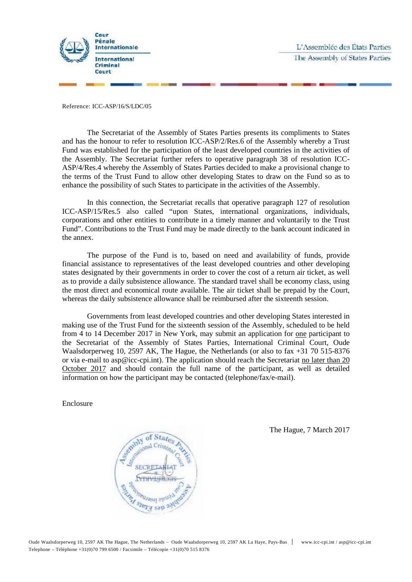

Reference: ICC-ASP/16/S/LDC/05

The Secretariat of the Assembly of States Parties presents its compliments to States and has the honour to refer to resolution ICC-ASP/2/Res.6 of the Assembly whereby a Trust Fund was established for the participation of the least developed countries in the activities of the Assembly. The Secretariat further refers to operative paragraph 38 of resolution ICC- ASP/4/Res.4 whereby the Assembly of States Parties decided to make a provisional change to the terms of the Trust Fund to allow other developing States to draw on the Fund so as to enhance the possibility of such States to participate in the activities of the Assembly.

In this connection, the Secretariat recalls that operative paragraph 127 of resolution ICC-ASP/15/Res.5 also called "upon States, international organizations, individuals, corporations and other entities to contribute in a timely manner and voluntarily to the Trust Fund". Contributions to the Trust Fund may be made directly to the bank account indicated in the annex.

The purpose of the Fund is to, based on need and availability of funds, provide financial assistance to representatives of the least developed countries and other developing states designated by their governments in order to cover the cost of a return air ticket, as well as to provide a daily subsistence allowance. The standard travel shall be economy class, using the most direct and economical route available. The air ticket shall be prepaid by the Court, whereas the daily subsistence allowance shall be reimbursed after the sixteenth session.

Governments from least developed countries and other developing States interested in making use of the Trust Fund for the sixteenth session of the Assembly, scheduled to be held from 4 to 14 December 2017 in New York, may submit an application for one participant to the Secretariat of the Assembly of States Parties, International Criminal Court, Oude Waalsdorperweg 10, 2597 AK, The Hague, the Netherlands (or also to fax +31 70 515-8376 or via e-mail to asp@icc-cpi.int). The application should reach the Secretariat no later than 20 October 2017 and should contain the full name of the participant, as well as detailed information on how the participant may be contacted (telephone/fax/e-mail).

Enclosure



The Hague, 7 March 2017